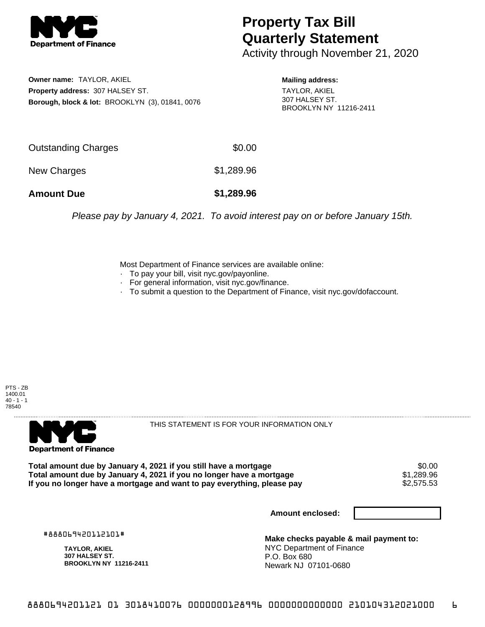

## **Property Tax Bill Quarterly Statement**

Activity through November 21, 2020

**Owner name:** TAYLOR, AKIEL **Property address:** 307 HALSEY ST. **Borough, block & lot:** BROOKLYN (3), 01841, 0076 **Mailing address:** TAYLOR, AKIEL 307 HALSEY ST. BROOKLYN NY 11216-2411

| <b>Amount Due</b>   | \$1,289.96 |
|---------------------|------------|
| New Charges         | \$1,289.96 |
| Outstanding Charges | \$0.00     |

Please pay by January 4, 2021. To avoid interest pay on or before January 15th.

Most Department of Finance services are available online:

- · To pay your bill, visit nyc.gov/payonline.
- For general information, visit nyc.gov/finance.
- · To submit a question to the Department of Finance, visit nyc.gov/dofaccount.





THIS STATEMENT IS FOR YOUR INFORMATION ONLY

Total amount due by January 4, 2021 if you still have a mortgage \$0.00<br>Total amount due by January 4, 2021 if you no longer have a mortgage \$1.289.96 **Total amount due by January 4, 2021 if you no longer have a mortgage**  $$1,289.96$ **<br>If you no longer have a mortgage and want to pay everything, please pay**  $$2,575.53$ If you no longer have a mortgage and want to pay everything, please pay

**Amount enclosed:**

#888069420112101#

**TAYLOR, AKIEL 307 HALSEY ST. BROOKLYN NY 11216-2411**

**Make checks payable & mail payment to:** NYC Department of Finance P.O. Box 680 Newark NJ 07101-0680